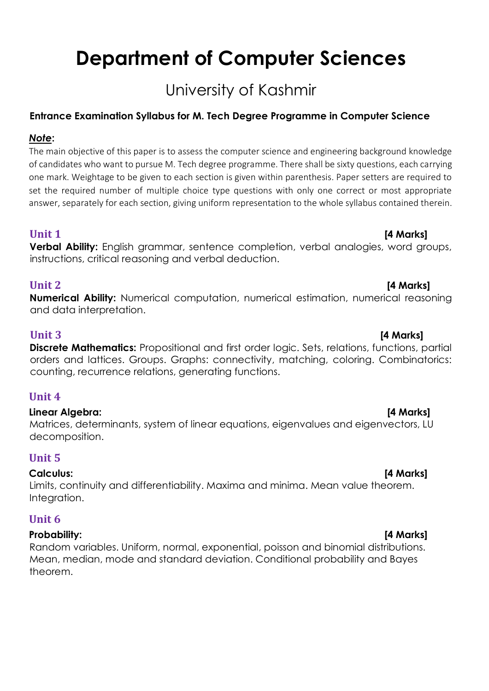# **Department of Computer Sciences**

# University of Kashmir

# **Entrance Examination Syllabus for M. Tech Degree Programme in Computer Science**

## *Note***:**

The main objective of this paper is to assess the computer science and engineering background knowledge of candidates who want to pursue M. Tech degree programme. There shall be sixty questions, each carrying one mark. Weightage to be given to each section is given within parenthesis. Paper setters are required to set the required number of multiple choice type questions with only one correct or most appropriate answer, separately for each section, giving uniform representation to the whole syllabus contained therein.

# **Unit 1 [4 Marks]**

**Verbal Ability:** English grammar, sentence completion, verbal analogies, word groups, instructions, critical reasoning and verbal deduction.

## **Unit 2 [4 Marks]**

**Numerical Ability:** Numerical computation, numerical estimation, numerical reasoning and data interpretation.

### **Unit 3 [4 Marks]**

**Discrete Mathematics:** Propositional and first order logic. Sets, relations, functions, partial orders and lattices. Groups. Graphs: connectivity, matching, coloring. Combinatorics: counting, recurrence relations, generating functions.

# **Unit 4**

### **Linear Algebra: [4 Marks]**

Matrices, determinants, system of linear equations, eigenvalues and eigenvectors, LU decomposition.

# **Unit 5**

### **Calculus: [4 Marks]**

Limits, continuity and differentiability. Maxima and minima. Mean value theorem. Integration.

### **Unit 6**

#### **Probability: [4 Marks]**

Random variables. Uniform, normal, exponential, poisson and binomial distributions. Mean, median, mode and standard deviation. Conditional probability and Bayes theorem.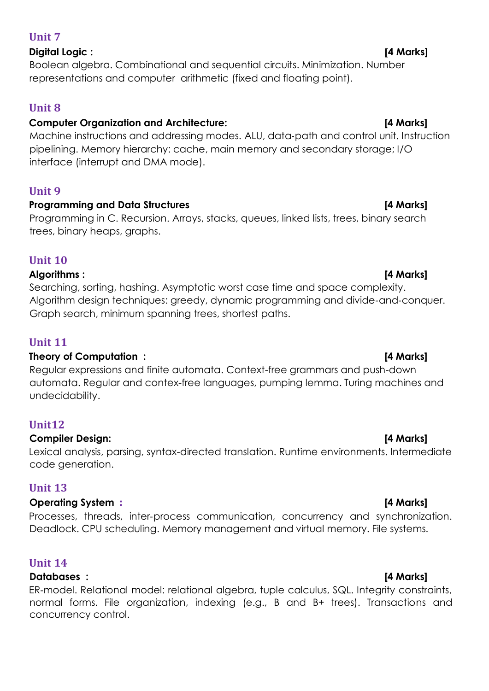### **Unit 7**

# **Digital Logic : [4 Marks]**

Boolean algebra. Combinational and sequential circuits. Minimization. Number representations and computer arithmetic (fixed and floating point).

# **Unit 8**

# **Computer Organization and Architecture: [4 Marks]**

Machine instructions and addressing modes. ALU, data‐path and control unit. Instruction pipelining. Memory hierarchy: cache, main memory and secondary storage; I/O interface (interrupt and DMA mode).

### **Unit 9**

### Programming and Data Structures **and Exercise 2018** [4 Marks]

Programming in C. Recursion. Arrays, stacks, queues, linked lists, trees, binary search trees, binary heaps, graphs.

### **Unit 10**

### **Algorithms : [4 Marks]**

Searching, sorting, hashing. Asymptotic worst case time and space complexity. Algorithm design techniques: greedy, dynamic programming and divide‐and‐conquer. Graph search, minimum spanning trees, shortest paths.

# **Unit 11**

### **Theory of Computation : [4 Marks]**

Regular expressions and finite automata. Context-free grammars and push-down automata. Regular and contex-free languages, pumping lemma. Turing machines and undecidability.

# **Unit12**

### **Compiler Design: [4 Marks]**

Lexical analysis, parsing, syntax-directed translation. Runtime environments. Intermediate code generation.

# **Unit 13**

### **Operating System : [4 Marks]**

Processes, threads, inter‐process communication, concurrency and synchronization. Deadlock. CPU scheduling. Memory management and virtual memory. File systems.

# **Unit 14**

### **Databases : [4 Marks]**

ER‐model. Relational model: relational algebra, tuple calculus, SQL. Integrity constraints, normal forms. File organization, indexing (e.g., B and B+ trees). Transactions and concurrency control.